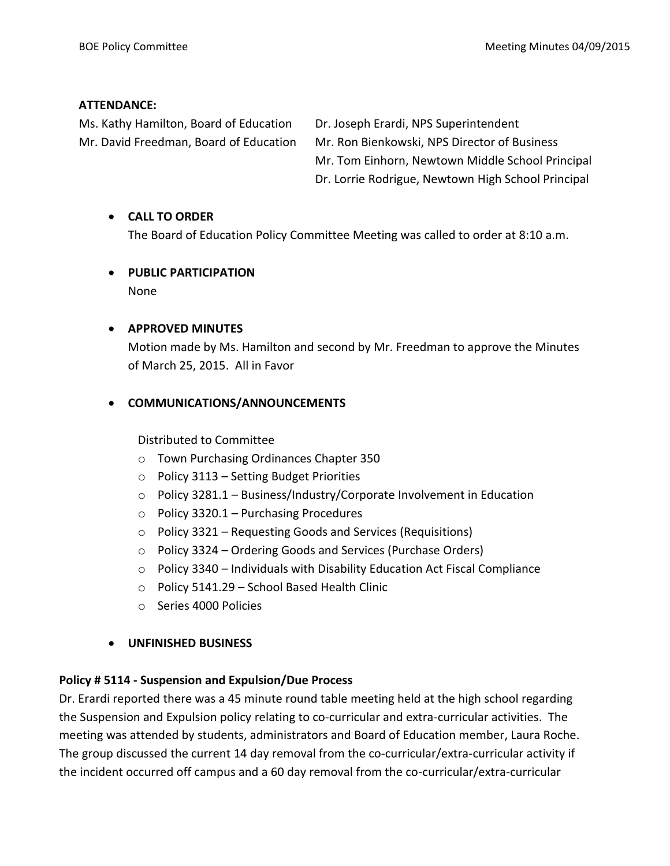#### **ATTENDANCE:**

Ms. Kathy Hamilton, Board of Education Dr. Joseph Erardi, NPS Superintendent

Mr. David Freedman, Board of Education Mr. Ron Bienkowski, NPS Director of Business Mr. Tom Einhorn, Newtown Middle School Principal Dr. Lorrie Rodrigue, Newtown High School Principal

#### **CALL TO ORDER**

The Board of Education Policy Committee Meeting was called to order at 8:10 a.m.

# **PUBLIC PARTICIPATION**

None

#### **APPROVED MINUTES**

Motion made by Ms. Hamilton and second by Mr. Freedman to approve the Minutes of March 25, 2015. All in Favor

# **COMMUNICATIONS/ANNOUNCEMENTS**

#### Distributed to Committee

- o Town Purchasing Ordinances Chapter 350
- o Policy 3113 Setting Budget Priorities
- o Policy 3281.1 Business/Industry/Corporate Involvement in Education
- o Policy 3320.1 Purchasing Procedures
- o Policy 3321 Requesting Goods and Services (Requisitions)
- o Policy 3324 Ordering Goods and Services (Purchase Orders)
- $\circ$  Policy 3340 Individuals with Disability Education Act Fiscal Compliance
- o Policy 5141.29 School Based Health Clinic
- o Series 4000 Policies

#### **UNFINISHED BUSINESS**

# **Policy # 5114 - Suspension and Expulsion/Due Process**

Dr. Erardi reported there was a 45 minute round table meeting held at the high school regarding the Suspension and Expulsion policy relating to co-curricular and extra-curricular activities. The meeting was attended by students, administrators and Board of Education member, Laura Roche. The group discussed the current 14 day removal from the co-curricular/extra-curricular activity if the incident occurred off campus and a 60 day removal from the co-curricular/extra-curricular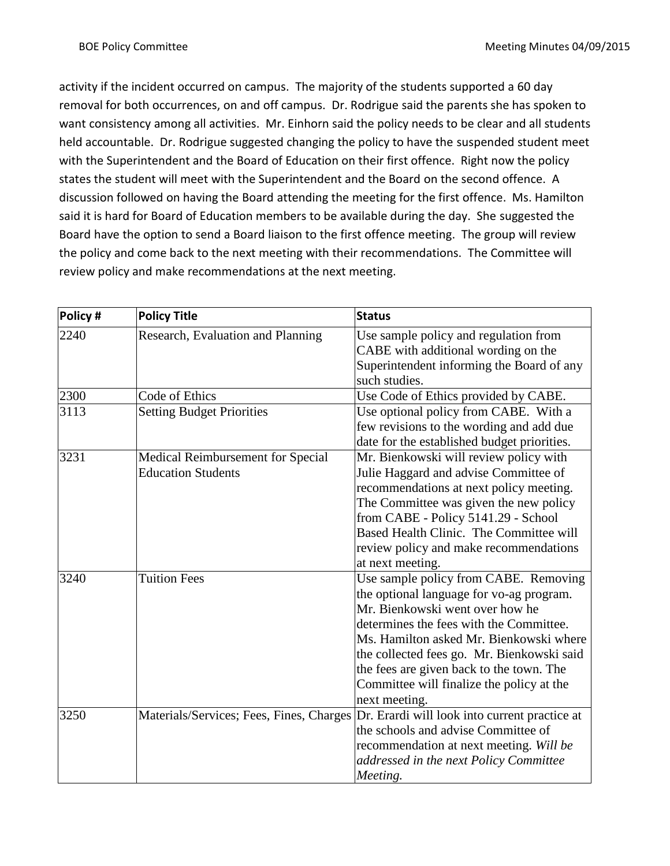activity if the incident occurred on campus. The majority of the students supported a 60 day removal for both occurrences, on and off campus. Dr. Rodrigue said the parents she has spoken to want consistency among all activities. Mr. Einhorn said the policy needs to be clear and all students held accountable. Dr. Rodrigue suggested changing the policy to have the suspended student meet with the Superintendent and the Board of Education on their first offence. Right now the policy states the student will meet with the Superintendent and the Board on the second offence. A discussion followed on having the Board attending the meeting for the first offence. Ms. Hamilton said it is hard for Board of Education members to be available during the day. She suggested the Board have the option to send a Board liaison to the first offence meeting. The group will review the policy and come back to the next meeting with their recommendations. The Committee will review policy and make recommendations at the next meeting.

| Policy # | <b>Policy Title</b>               | <b>Status</b>                                                                          |
|----------|-----------------------------------|----------------------------------------------------------------------------------------|
| 2240     | Research, Evaluation and Planning | Use sample policy and regulation from                                                  |
|          |                                   | CABE with additional wording on the                                                    |
|          |                                   | Superintendent informing the Board of any                                              |
|          |                                   | such studies.                                                                          |
| 2300     | Code of Ethics                    | Use Code of Ethics provided by CABE.                                                   |
| 3113     | <b>Setting Budget Priorities</b>  | Use optional policy from CABE. With a                                                  |
|          |                                   | few revisions to the wording and add due                                               |
|          |                                   | date for the established budget priorities.                                            |
| 3231     | Medical Reimbursement for Special | Mr. Bienkowski will review policy with                                                 |
|          | <b>Education Students</b>         | Julie Haggard and advise Committee of                                                  |
|          |                                   | recommendations at next policy meeting.                                                |
|          |                                   | The Committee was given the new policy                                                 |
|          |                                   | from CABE - Policy 5141.29 - School                                                    |
|          |                                   | Based Health Clinic. The Committee will                                                |
|          |                                   | review policy and make recommendations                                                 |
|          |                                   | at next meeting.                                                                       |
| 3240     | <b>Tuition Fees</b>               | Use sample policy from CABE. Removing                                                  |
|          |                                   | the optional language for vo-ag program.                                               |
|          |                                   | Mr. Bienkowski went over how he                                                        |
|          |                                   | determines the fees with the Committee.                                                |
|          |                                   | Ms. Hamilton asked Mr. Bienkowski where                                                |
|          |                                   | the collected fees go. Mr. Bienkowski said                                             |
|          |                                   | the fees are given back to the town. The                                               |
|          |                                   | Committee will finalize the policy at the                                              |
|          |                                   | next meeting.                                                                          |
| 3250     |                                   | Materials/Services; Fees, Fines, Charges Dr. Erardi will look into current practice at |
|          |                                   | the schools and advise Committee of                                                    |
|          |                                   | recommendation at next meeting. Will be                                                |
|          |                                   | addressed in the next Policy Committee                                                 |
|          |                                   | Meeting.                                                                               |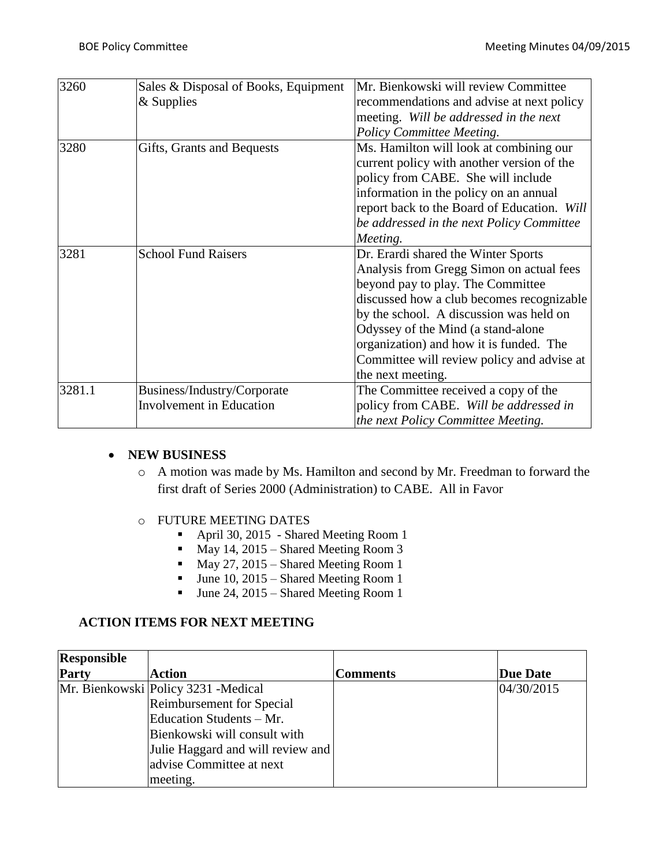| 3260   | Sales & Disposal of Books, Equipment | Mr. Bienkowski will review Committee        |
|--------|--------------------------------------|---------------------------------------------|
|        | $&$ Supplies                         | recommendations and advise at next policy   |
|        |                                      | meeting. Will be addressed in the next      |
|        |                                      | Policy Committee Meeting.                   |
| 3280   | Gifts, Grants and Bequests           | Ms. Hamilton will look at combining our     |
|        |                                      | current policy with another version of the  |
|        |                                      | policy from CABE. She will include          |
|        |                                      | information in the policy on an annual      |
|        |                                      | report back to the Board of Education. Will |
|        |                                      | be addressed in the next Policy Committee   |
|        |                                      | Meeting.                                    |
| 3281   | <b>School Fund Raisers</b>           | Dr. Erardi shared the Winter Sports         |
|        |                                      | Analysis from Gregg Simon on actual fees    |
|        |                                      | beyond pay to play. The Committee           |
|        |                                      | discussed how a club becomes recognizable   |
|        |                                      | by the school. A discussion was held on     |
|        |                                      | Odyssey of the Mind (a stand-alone          |
|        |                                      | organization) and how it is funded. The     |
|        |                                      | Committee will review policy and advise at  |
|        |                                      | the next meeting.                           |
| 3281.1 | Business/Industry/Corporate          | The Committee received a copy of the        |
|        | <b>Involvement in Education</b>      | policy from CABE. Will be addressed in      |
|        |                                      | the next Policy Committee Meeting.          |

#### **NEW BUSINESS**

- o A motion was made by Ms. Hamilton and second by Mr. Freedman to forward the first draft of Series 2000 (Administration) to CABE. All in Favor
- o FUTURE MEETING DATES
	- April 30, 2015 Shared Meeting Room 1
	- May 14, 2015 Shared Meeting Room 3
	- $\n **May 27, 2015 Shared Meeting Room 1**\n$
	- $June 10, 2015 Shared Meeting Room 1$
	- Ullet 24, 2015 Shared Meeting Room 1

#### **ACTION ITEMS FOR NEXT MEETING**

| <b>Responsible</b> |                                      |                 |                 |
|--------------------|--------------------------------------|-----------------|-----------------|
| Party              | <b>Action</b>                        | <b>Comments</b> | <b>Due Date</b> |
|                    | Mr. Bienkowski Policy 3231 - Medical |                 | 04/30/2015      |
|                    | Reimbursement for Special            |                 |                 |
|                    | Education Students - Mr.             |                 |                 |
|                    | Bienkowski will consult with         |                 |                 |
|                    | Julie Haggard and will review and    |                 |                 |
|                    | advise Committee at next             |                 |                 |
|                    | meeting.                             |                 |                 |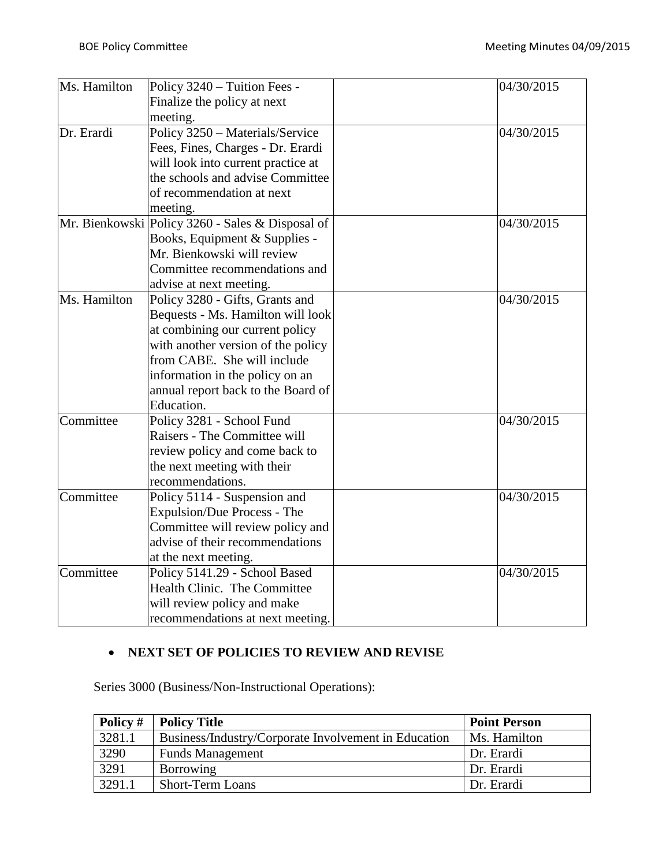| Ms. Hamilton | Policy 3240 - Tuition Fees -                     | 04/30/2015 |
|--------------|--------------------------------------------------|------------|
|              | Finalize the policy at next                      |            |
|              | meeting.                                         |            |
| Dr. Erardi   | Policy 3250 - Materials/Service                  | 04/30/2015 |
|              | Fees, Fines, Charges - Dr. Erardi                |            |
|              | will look into current practice at               |            |
|              | the schools and advise Committee                 |            |
|              | of recommendation at next                        |            |
|              | meeting.                                         |            |
|              | Mr. Bienkowski Policy 3260 - Sales & Disposal of | 04/30/2015 |
|              | Books, Equipment & Supplies -                    |            |
|              | Mr. Bienkowski will review                       |            |
|              | Committee recommendations and                    |            |
|              | advise at next meeting.                          |            |
| Ms. Hamilton | Policy 3280 - Gifts, Grants and                  | 04/30/2015 |
|              | Bequests - Ms. Hamilton will look                |            |
|              | at combining our current policy                  |            |
|              | with another version of the policy               |            |
|              | from CABE. She will include                      |            |
|              | information in the policy on an                  |            |
|              | annual report back to the Board of               |            |
|              | Education.                                       |            |
| Committee    | Policy 3281 - School Fund                        | 04/30/2015 |
|              | Raisers - The Committee will                     |            |
|              | review policy and come back to                   |            |
|              | the next meeting with their                      |            |
|              | recommendations.                                 |            |
| Committee    | Policy 5114 - Suspension and                     | 04/30/2015 |
|              | Expulsion/Due Process - The                      |            |
|              | Committee will review policy and                 |            |
|              | advise of their recommendations                  |            |
|              | at the next meeting.                             |            |
| Committee    | Policy 5141.29 - School Based                    | 04/30/2015 |
|              | Health Clinic. The Committee                     |            |
|              | will review policy and make                      |            |
|              | recommendations at next meeting.                 |            |

# **NEXT SET OF POLICIES TO REVIEW AND REVISE**

Series 3000 (Business/Non-Instructional Operations):

| Policy # | <b>Policy Title</b>                                  | <b>Point Person</b> |
|----------|------------------------------------------------------|---------------------|
| 3281.1   | Business/Industry/Corporate Involvement in Education | Ms. Hamilton        |
| 3290     | <b>Funds Management</b>                              | Dr. Erardi          |
| 3291     | Borrowing                                            | Dr. Erardi          |
| 3291.1   | <b>Short-Term Loans</b>                              | Dr. Erardi          |